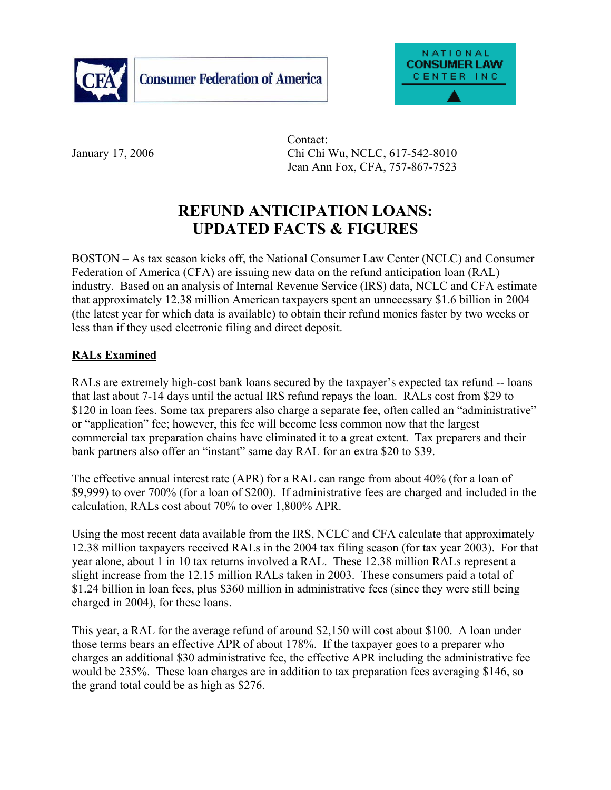



 Contact: January 17, 2006 Chi Chi Wu, NCLC, 617-542-8010 Jean Ann Fox, CFA, 757-867-7523

### **REFUND ANTICIPATION LOANS: UPDATED FACTS & FIGURES**

BOSTON – As tax season kicks off, the National Consumer Law Center (NCLC) and Consumer Federation of America (CFA) are issuing new data on the refund anticipation loan (RAL) industry. Based on an analysis of Internal Revenue Service (IRS) data, NCLC and CFA estimate that approximately 12.38 million American taxpayers spent an unnecessary \$1.6 billion in 2004 (the latest year for which data is available) to obtain their refund monies faster by two weeks or less than if they used electronic filing and direct deposit.

#### **RALs Examined**

RALs are extremely high-cost bank loans secured by the taxpayer's expected tax refund -- loans that last about 7-14 days until the actual IRS refund repays the loan. RALs cost from \$29 to \$120 in loan fees. Some tax preparers also charge a separate fee, often called an "administrative" or "application" fee; however, this fee will become less common now that the largest commercial tax preparation chains have eliminated it to a great extent. Tax preparers and their bank partners also offer an "instant" same day RAL for an extra \$20 to \$39.

The effective annual interest rate (APR) for a RAL can range from about 40% (for a loan of \$9,999) to over 700% (for a loan of \$200). If administrative fees are charged and included in the calculation, RALs cost about 70% to over 1,800% APR.

Using the most recent data available from the IRS, NCLC and CFA calculate that approximately 12.38 million taxpayers received RALs in the 2004 tax filing season (for tax year 2003). For that year alone, about 1 in 10 tax returns involved a RAL. These 12.38 million RALs represent a slight increase from the 12.15 million RALs taken in 2003. These consumers paid a total of \$1.24 billion in loan fees, plus \$360 million in administrative fees (since they were still being charged in 2004), for these loans.

This year, a RAL for the average refund of around \$2,150 will cost about \$100. A loan under those terms bears an effective APR of about 178%. If the taxpayer goes to a preparer who charges an additional \$30 administrative fee, the effective APR including the administrative fee would be 235%. These loan charges are in addition to tax preparation fees averaging \$146, so the grand total could be as high as \$276.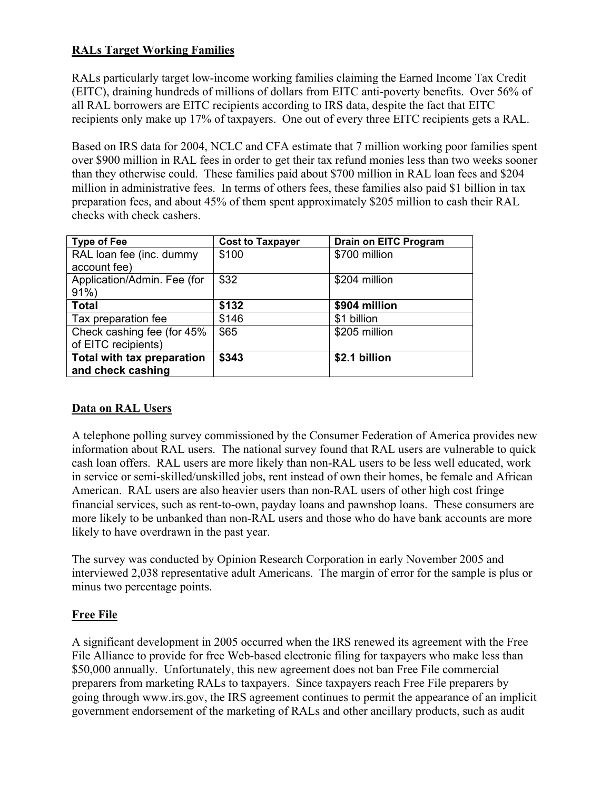#### **RALs Target Working Families**

RALs particularly target low-income working families claiming the Earned Income Tax Credit (EITC), draining hundreds of millions of dollars from EITC anti-poverty benefits. Over 56% of all RAL borrowers are EITC recipients according to IRS data, despite the fact that EITC recipients only make up 17% of taxpayers. One out of every three EITC recipients gets a RAL.

Based on IRS data for 2004, NCLC and CFA estimate that 7 million working poor families spent over \$900 million in RAL fees in order to get their tax refund monies less than two weeks sooner than they otherwise could. These families paid about \$700 million in RAL loan fees and \$204 million in administrative fees. In terms of others fees, these families also paid \$1 billion in tax preparation fees, and about 45% of them spent approximately \$205 million to cash their RAL checks with check cashers.

| <b>Type of Fee</b>          | <b>Cost to Taxpayer</b> | <b>Drain on EITC Program</b> |
|-----------------------------|-------------------------|------------------------------|
| RAL loan fee (inc. dummy    | \$100                   | \$700 million                |
| account fee)                |                         |                              |
| Application/Admin. Fee (for | \$32                    | \$204 million                |
| $91\%$                      |                         |                              |
| <b>Total</b>                | \$132                   | \$904 million                |
| Tax preparation fee         | \$146                   | \$1 billion                  |
| Check cashing fee (for 45%  | \$65                    | \$205 million                |
| of EITC recipients)         |                         |                              |
| Total with tax preparation  | \$343                   | \$2.1 billion                |
| and check cashing           |                         |                              |

#### **Data on RAL Users**

A telephone polling survey commissioned by the Consumer Federation of America provides new information about RAL users. The national survey found that RAL users are vulnerable to quick cash loan offers. RAL users are more likely than non-RAL users to be less well educated, work in service or semi-skilled/unskilled jobs, rent instead of own their homes, be female and African American. RAL users are also heavier users than non-RAL users of other high cost fringe financial services, such as rent-to-own, payday loans and pawnshop loans. These consumers are more likely to be unbanked than non-RAL users and those who do have bank accounts are more likely to have overdrawn in the past year.

The survey was conducted by Opinion Research Corporation in early November 2005 and interviewed 2,038 representative adult Americans. The margin of error for the sample is plus or minus two percentage points.

#### **Free File**

A significant development in 2005 occurred when the IRS renewed its agreement with the Free File Alliance to provide for free Web-based electronic filing for taxpayers who make less than \$50,000 annually. Unfortunately, this new agreement does not ban Free File commercial preparers from marketing RALs to taxpayers. Since taxpayers reach Free File preparers by going through www.irs.gov, the IRS agreement continues to permit the appearance of an implicit government endorsement of the marketing of RALs and other ancillary products, such as audit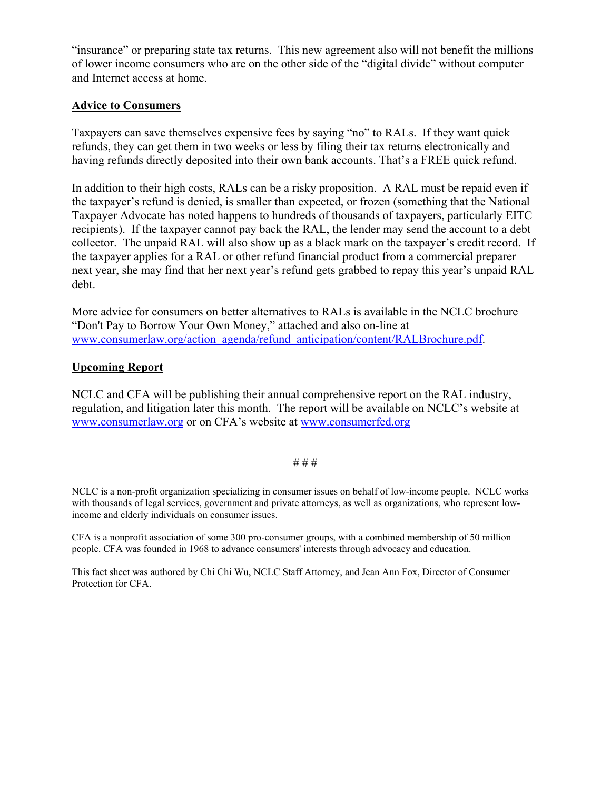"insurance" or preparing state tax returns. This new agreement also will not benefit the millions of lower income consumers who are on the other side of the "digital divide" without computer and Internet access at home.

#### **Advice to Consumers**

Taxpayers can save themselves expensive fees by saying "no" to RALs. If they want quick refunds, they can get them in two weeks or less by filing their tax returns electronically and having refunds directly deposited into their own bank accounts. That's a FREE quick refund.

In addition to their high costs, RALs can be a risky proposition. A RAL must be repaid even if the taxpayer's refund is denied, is smaller than expected, or frozen (something that the National Taxpayer Advocate has noted happens to hundreds of thousands of taxpayers, particularly EITC recipients). If the taxpayer cannot pay back the RAL, the lender may send the account to a debt collector. The unpaid RAL will also show up as a black mark on the taxpayer's credit record. If the taxpayer applies for a RAL or other refund financial product from a commercial preparer next year, she may find that her next year's refund gets grabbed to repay this year's unpaid RAL debt.

More advice for consumers on better alternatives to RALs is available in the NCLC brochure "Don't Pay to Borrow Your Own Money," attached and also on-line at www.consumerlaw.org/action\_agenda/refund\_anticipation/content/RALBrochure.pdf.

#### **Upcoming Report**

NCLC and CFA will be publishing their annual comprehensive report on the RAL industry, regulation, and litigation later this month. The report will be available on NCLC's website at www.consumerlaw.org or on CFA's website at www.consumerfed.org

#### # # #

NCLC is a non-profit organization specializing in consumer issues on behalf of low-income people. NCLC works with thousands of legal services, government and private attorneys, as well as organizations, who represent lowincome and elderly individuals on consumer issues.

CFA is a nonprofit association of some 300 pro-consumer groups, with a combined membership of 50 million people. CFA was founded in 1968 to advance consumers' interests through advocacy and education.

This fact sheet was authored by Chi Chi Wu, NCLC Staff Attorney, and Jean Ann Fox, Director of Consumer Protection for CFA.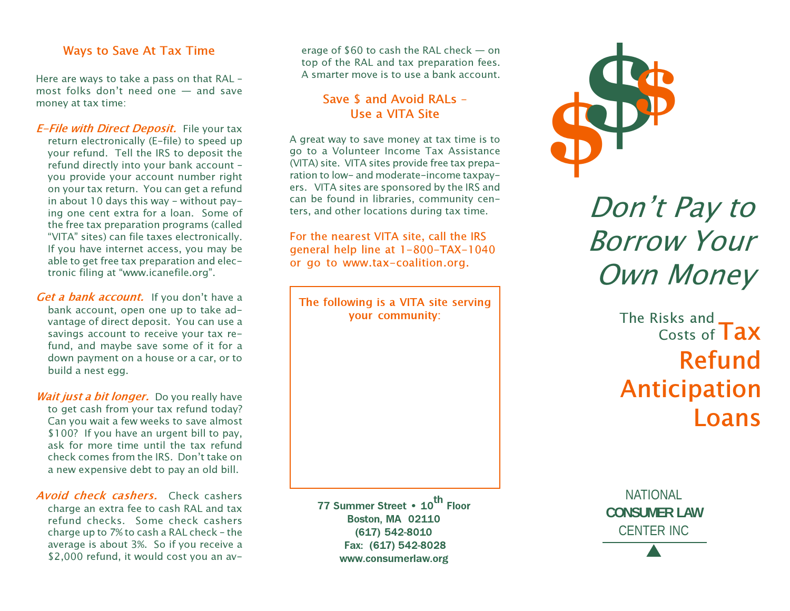#### Ways to Save At Tax Time

Here are ways to take a pass on that RAL – most folks don't need one — and save money at tax time:

- **E-File with Direct Deposit.** File your tax return electronically (E-file) to speed up your refund. Tell the IRS to deposit the refund directly into your bank account – you provide your account number right on your tax return. You can get a refund in about 10 days this way - without paying one cent extra for a loan. Some of the free tax preparation programs (called "VITA" sites) can file taxes electronically. If you have internet access, you may be able to get free tax preparation and electronic filing at "www.icanefile.org".
- Get a bank account. If you don't have a bank account, open one up to take advantage of direct deposit. You can use a savings account to receive your tax refund, and maybe save some of it for a down payment on a house or a car, or to build a nest egg.
- Wait just a bit longer. Do you really have to get cash from your tax refund today? Can you wait a few weeks to save almost \$100? If you have an urgent bill to pay, ask for more time until the tax refund check comes from the IRS. Don't take on a new expensive debt to pay an old bill.
- Avoid check cashers. Check cashers charge an extra fee to cash RAL and tax refund checks. Some check cashers charge up to 7% to cash a RAL check – the average is about 3%. So if you receive a \$2,000 refund, it would cost you an av-

erage of \$60 to cash the RAL check — on top of the RAL and tax preparation fees. A smarter move is to use a bank account.

#### Save \$ and Avoid RALs – Use a VITA Site

A great way to save money at tax time is to go to a Volunteer Income Tax Assistance (VITA) site. VITA sites provide free tax preparation to low- and moderate-income taxpayers. VITA sites are sponsored by the IRS and can be found in libraries, community centers, and other locations during tax time.

For the nearest VITA site, call the IRS general help line at 1-800-TAX-1040 or go to www.tax-coalition.org.

The following is a VITA site serving your community:

77 Summer Street • 10<sup>th</sup> Floor Boston, MA 02110 (617) 542-8010 Fax: (617) 542-8028 www.consumerlaw.org



Don't Pay to Borrow Your Own Money

> Tax Refund Anticipation Loans The Risks and Costs of

NATIONAL **CONSUMER LAW** CENTER INC